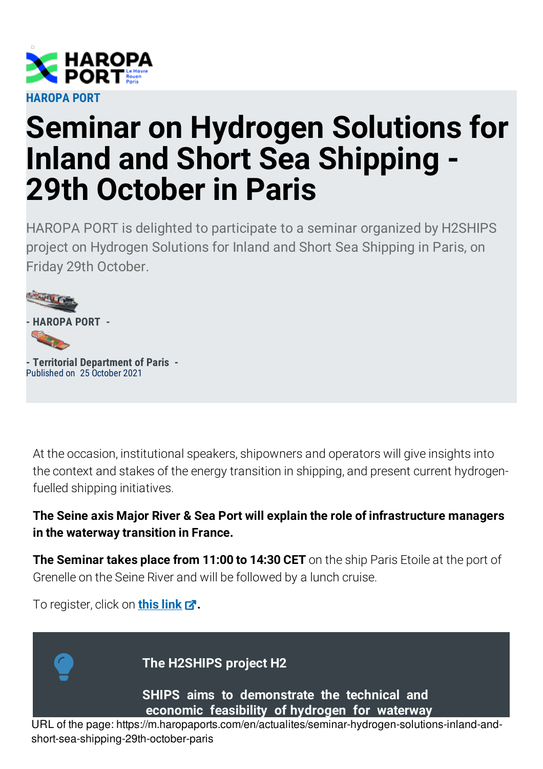

## **Seminar on Hydrogen Solutions for Inland and Short Sea Shipping - 29th October in Paris**

HAROPA PORT is delighted to participate to a seminar organized by H2SHIPS project on Hydrogen Solutions for Inland and Short Sea Shipping in Paris, on Friday 29th October.



**- Territorial Department of Paris -** Published on 25 October 2021

At the occasion, institutional speakers, shipowners and operators will give insights into the context and stakes of the energy transition in shipping, and present current hydrogenfuelled shipping initiatives.

## **The Seine axis Major River & Sea Port will explain the role of infrastructure managers in the waterway transition in France.**

**The Seminar takes place from 11:00 to 14:30 CET** on the ship Paris Etoile at the port of Grenelle on the Seine River and will be followed by a lunch cruise.

To register, click on **this [link](https://eveeno.com/270276475) .**



**The H2SHIPS project H2**

**SHIPS aims to demonstrate the technical and economic feasibility of hydrogen for waterway**

URL of the page: https://m.haropaports.com/en/actualites/seminar-hydrogen-solutions-inland-andshort-sea-shipping-29th-october-paris